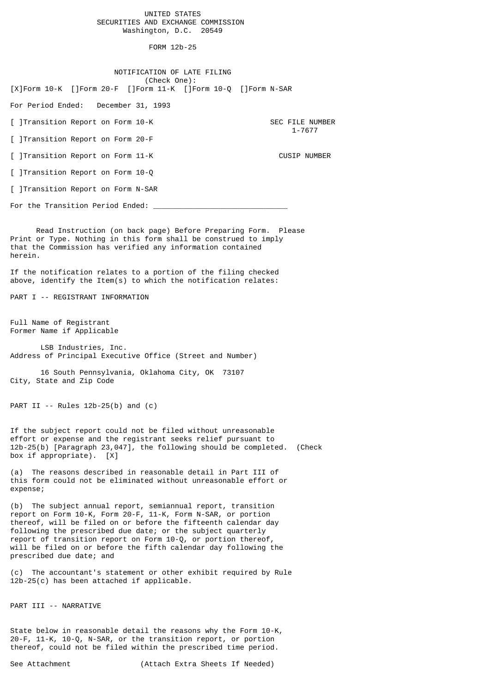### UNITED STATES SECURITIES AND EXCHANGE COMMISSION Washington, D.C. 20549

FORM 12b-25

## NOTIFICATION OF LATE FILING (Check One):

[X]Form 10-K []Form 20-F []Form 11-K []Form 10-Q []Form N-SAR

For Period Ended: December 31, 1993

[ ]Transition Report on Form 10-K SEC FILE NUMBER

 $1-7677$ 

[ ]Transition Report on Form 20-F

[ ]Transition Report on Form 11-K CUSIP NUMBER

[ ]Transition Report on Form 10-Q

[ ]Transition Report on Form N-SAR

For the Transition Period Ended:

 Read Instruction (on back page) Before Preparing Form. Please Print or Type. Nothing in this form shall be construed to imply that the Commission has verified any information contained herein.

If the notification relates to a portion of the filing checked above, identify the Item(s) to which the notification relates:

PART I -- REGISTRANT INFORMATION

Full Name of Registrant Former Name if Applicable

 LSB Industries, Inc. Address of Principal Executive Office (Street and Number)

 16 South Pennsylvania, Oklahoma City, OK 73107 City, State and Zip Code

PART II  $-$ - Rules 12b-25(b) and (c)

If the subject report could not be filed without unreasonable effort or expense and the registrant seeks relief pursuant to 12b-25(b) [Paragraph 23,047], the following should be completed. (Check box if appropriate). [X]

(a) The reasons described in reasonable detail in Part III of this form could not be eliminated without unreasonable effort or expense;

(b) The subject annual report, semiannual report, transition report on Form 10-K, Form 20-F, 11-K, Form N-SAR, or portion thereof, will be filed on or before the fifteenth calendar day following the prescribed due date; or the subject quarterly report of transition report on Form 10-Q, or portion thereof, will be filed on or before the fifth calendar day following the prescribed due date; and

(c) The accountant's statement or other exhibit required by Rule 12b-25(c) has been attached if applicable.

PART III -- NARRATIVE

State below in reasonable detail the reasons why the Form 10-K, 20-F, 11-K, 10-Q, N-SAR, or the transition report, or portion thereof, could not be filed within the prescribed time period.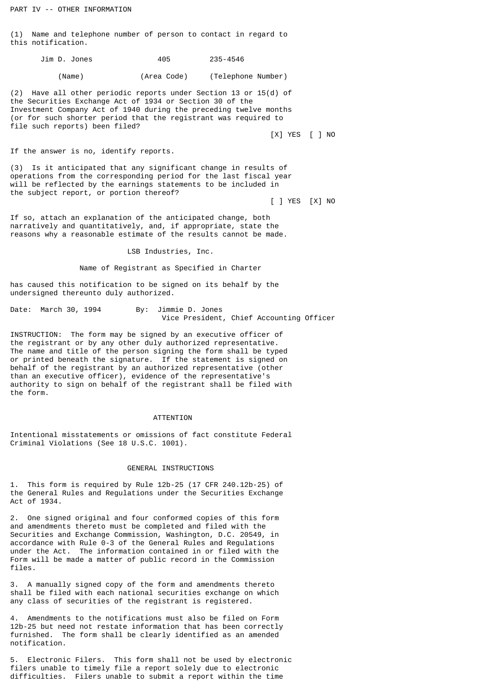PART IV -- OTHER INFORMATION

(1) Name and telephone number of person to contact in regard to this notification.

| Jim D. Jones | 405 | 235-4546 |  |
|--------------|-----|----------|--|
|              |     |          |  |

(Name) (Area Code) (Telephone Number)

(2) Have all other periodic reports under Section 13 or 15(d) of the Securities Exchange Act of 1934 or Section 30 of the Investment Company Act of 1940 during the preceding twelve months (or for such shorter period that the registrant was required to file such reports) been filed?

[X] YES [ ] NO

If the answer is no, identify reports.

(3) Is it anticipated that any significant change in results of operations from the corresponding period for the last fiscal year will be reflected by the earnings statements to be included in the subject report, or portion thereof?

[ ] YES [X] NO

If so, attach an explanation of the anticipated change, both narratively and quantitatively, and, if appropriate, state the reasons why a reasonable estimate of the results cannot be made.

LSB Industries, Inc.

Name of Registrant as Specified in Charter

has caused this notification to be signed on its behalf by the undersigned thereunto duly authorized.

| Date: March 30, 1994 |  | By: Jimmie D. Jones |  |                                          |  |
|----------------------|--|---------------------|--|------------------------------------------|--|
|                      |  |                     |  | Vice President, Chief Accounting Officer |  |

INSTRUCTION: The form may be signed by an executive officer of the registrant or by any other duly authorized representative. The name and title of the person signing the form shall be typed or printed beneath the signature. If the statement is signed on behalf of the registrant by an authorized representative (other than an executive officer), evidence of the representative's authority to sign on behalf of the registrant shall be filed with the form.

## **ATTENTION**

Intentional misstatements or omissions of fact constitute Federal Criminal Violations (See 18 U.S.C. 1001).

#### GENERAL INSTRUCTIONS

1. This form is required by Rule 12b-25 (17 CFR 240.12b-25) of the General Rules and Regulations under the Securities Exchange Act of 1934.

2. One signed original and four conformed copies of this form and amendments thereto must be completed and filed with the Securities and Exchange Commission, Washington, D.C. 20549, in accordance with Rule 0-3 of the General Rules and Regulations under the Act. The information contained in or filed with the Form will be made a matter of public record in the Commission files.

3. A manually signed copy of the form and amendments thereto shall be filed with each national securities exchange on which any class of securities of the registrant is registered.

4. Amendments to the notifications must also be filed on Form 12b-25 but need not restate information that has been correctly furnished. The form shall be clearly identified as an amended notification.

5. Electronic Filers. This form shall not be used by electronic filers unable to timely file a report solely due to electronic difficulties. Filers unable to submit a report within the time